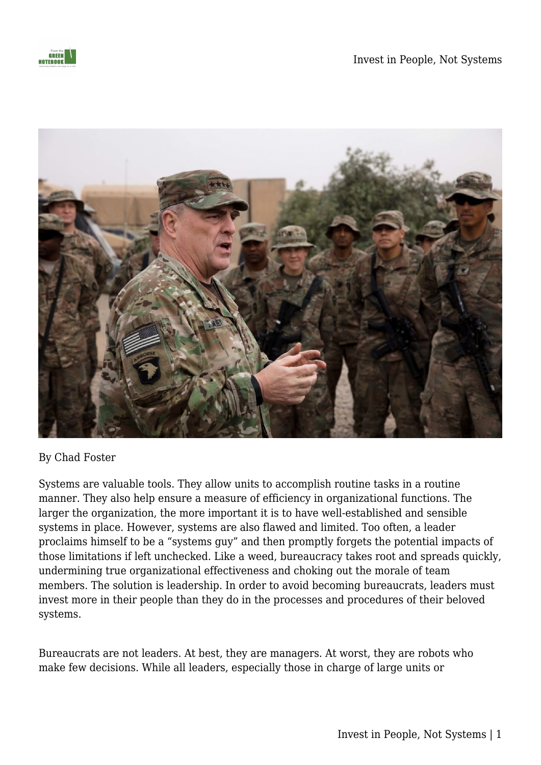



By Chad Foster

Systems are valuable tools. They allow units to accomplish routine tasks in a routine manner. They also help ensure a measure of efficiency in organizational functions. The larger the organization, the more important it is to have well-established and sensible systems in place. However, systems are also flawed and limited. Too often, a leader proclaims himself to be a "systems guy" and then promptly forgets the potential impacts of those limitations if left unchecked. Like a weed, bureaucracy takes root and spreads quickly, undermining true organizational effectiveness and choking out the morale of team members. The solution is leadership. In order to avoid becoming bureaucrats, leaders must invest more in their people than they do in the processes and procedures of their beloved systems.

Bureaucrats are not leaders. At best, they are managers. At worst, they are robots who make few decisions. While all leaders, especially those in charge of large units or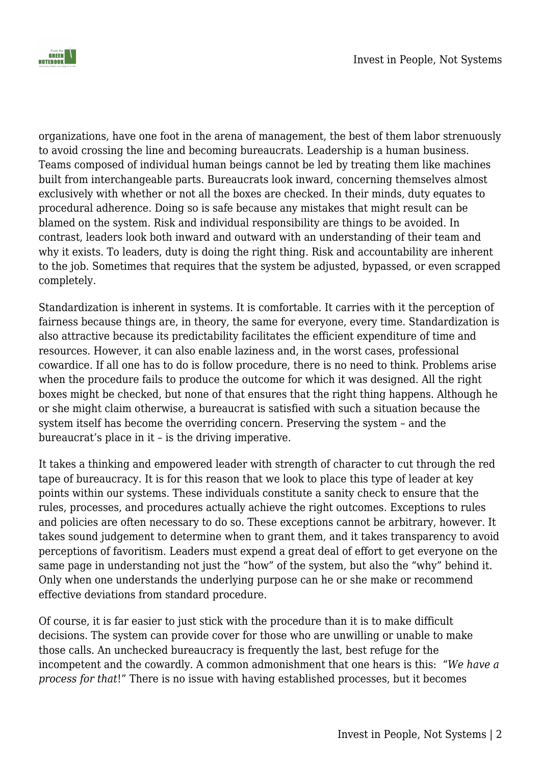

organizations, have one foot in the arena of management, the best of them labor strenuously to avoid crossing the line and becoming bureaucrats. Leadership is a human business. Teams composed of individual human beings cannot be led by treating them like machines built from interchangeable parts. Bureaucrats look inward, concerning themselves almost exclusively with whether or not all the boxes are checked. In their minds, duty equates to procedural adherence. Doing so is safe because any mistakes that might result can be blamed on the system. Risk and individual responsibility are things to be avoided. In contrast, leaders look both inward and outward with an understanding of their team and why it exists. To leaders, duty is doing the right thing. Risk and accountability are inherent to the job. Sometimes that requires that the system be adjusted, bypassed, or even scrapped completely.

Standardization is inherent in systems. It is comfortable. It carries with it the perception of fairness because things are, in theory, the same for everyone, every time. Standardization is also attractive because its predictability facilitates the efficient expenditure of time and resources. However, it can also enable laziness and, in the worst cases, professional cowardice. If all one has to do is follow procedure, there is no need to think. Problems arise when the procedure fails to produce the outcome for which it was designed. All the right boxes might be checked, but none of that ensures that the right thing happens. Although he or she might claim otherwise, a bureaucrat is satisfied with such a situation because the system itself has become the overriding concern. Preserving the system – and the bureaucrat's place in it – is the driving imperative.

It takes a thinking and empowered leader with strength of character to cut through the red tape of bureaucracy. It is for this reason that we look to place this type of leader at key points within our systems. These individuals constitute a sanity check to ensure that the rules, processes, and procedures actually achieve the right outcomes. Exceptions to rules and policies are often necessary to do so. These exceptions cannot be arbitrary, however. It takes sound judgement to determine when to grant them, and it takes transparency to avoid perceptions of favoritism. Leaders must expend a great deal of effort to get everyone on the same page in understanding not just the "how" of the system, but also the "why" behind it. Only when one understands the underlying purpose can he or she make or recommend effective deviations from standard procedure.

Of course, it is far easier to just stick with the procedure than it is to make difficult decisions. The system can provide cover for those who are unwilling or unable to make those calls. An unchecked bureaucracy is frequently the last, best refuge for the incompetent and the cowardly. A common admonishment that one hears is this: "*We have a process for that*!" There is no issue with having established processes, but it becomes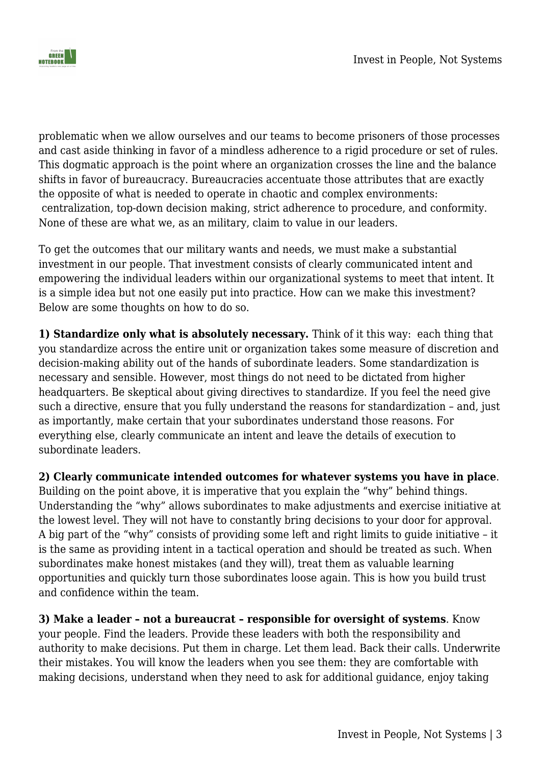



problematic when we allow ourselves and our teams to become prisoners of those processes and cast aside thinking in favor of a mindless adherence to a rigid procedure or set of rules. This dogmatic approach is the point where an organization crosses the line and the balance shifts in favor of bureaucracy. Bureaucracies accentuate those attributes that are exactly the opposite of what is needed to operate in chaotic and complex environments: centralization, top-down decision making, strict adherence to procedure, and conformity. None of these are what we, as an military, claim to value in our leaders.

To get the outcomes that our military wants and needs, we must make a substantial investment in our people. That investment consists of clearly communicated intent and empowering the individual leaders within our organizational systems to meet that intent. It is a simple idea but not one easily put into practice. How can we make this investment? Below are some thoughts on how to do so.

**1) Standardize only what is absolutely necessary.** Think of it this way: each thing that you standardize across the entire unit or organization takes some measure of discretion and decision-making ability out of the hands of subordinate leaders. Some standardization is necessary and sensible. However, most things do not need to be dictated from higher headquarters. Be skeptical about giving directives to standardize. If you feel the need give such a directive, ensure that you fully understand the reasons for standardization – and, just as importantly, make certain that your subordinates understand those reasons. For everything else, clearly communicate an intent and leave the details of execution to subordinate leaders.

**2) Clearly communicate intended outcomes for whatever systems you have in place**. Building on the point above, it is imperative that you explain the "why" behind things. Understanding the "why" allows subordinates to make adjustments and exercise initiative at the lowest level. They will not have to constantly bring decisions to your door for approval. A big part of the "why" consists of providing some left and right limits to guide initiative – it is the same as providing intent in a tactical operation and should be treated as such. When subordinates make honest mistakes (and they will), treat them as valuable learning opportunities and quickly turn those subordinates loose again. This is how you build trust and confidence within the team.

**3) Make a leader – not a bureaucrat – responsible for oversight of systems**. Know your people. Find the leaders. Provide these leaders with both the responsibility and authority to make decisions. Put them in charge. Let them lead. Back their calls. Underwrite their mistakes. You will know the leaders when you see them: they are comfortable with making decisions, understand when they need to ask for additional guidance, enjoy taking